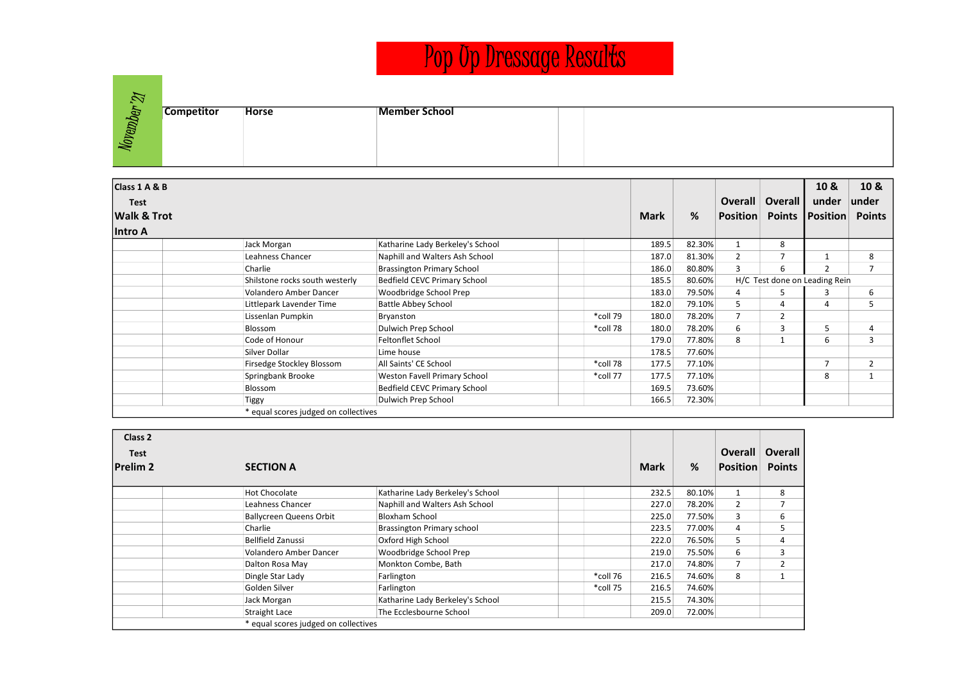## Pop Up Dressage Results

| P.     |                   |              |               |  |
|--------|-------------------|--------------|---------------|--|
| Ð      | <b>Competitor</b> | <b>Horse</b> | Member School |  |
| Movemb |                   |              |               |  |
|        |                   |              |               |  |
|        |                   |              |               |  |

| Class 1 A & B          |                                      |                                     |          |       |        |                 |                               | 10 &            | 10 &           |
|------------------------|--------------------------------------|-------------------------------------|----------|-------|--------|-----------------|-------------------------------|-----------------|----------------|
| <b>Test</b>            |                                      |                                     |          |       |        | <b>Overall</b>  | Overall                       | under           | under          |
| <b>Walk &amp; Trot</b> |                                      |                                     |          |       | %      | <b>Position</b> | <b>Points</b>                 | <b>Position</b> | <b>Points</b>  |
| lintro A               |                                      |                                     |          |       |        |                 |                               |                 |                |
|                        | Jack Morgan                          | Katharine Lady Berkeley's School    |          | 189.5 | 82.30% |                 | 8                             |                 |                |
|                        | Leahness Chancer                     | Naphill and Walters Ash School      |          | 187.0 | 81.30% | $\overline{2}$  | $\overline{7}$                |                 | 8              |
|                        | Charlie                              | <b>Brassington Primary School</b>   |          | 186.0 | 80.80% | 3               | 6                             | 2               | 7              |
|                        | Shilstone rocks south westerly       | <b>Bedfield CEVC Primary School</b> |          | 185.5 | 80.60% |                 | H/C Test done on Leading Rein |                 |                |
|                        | <b>Volandero Amber Dancer</b>        | Woodbridge School Prep              |          | 183.0 | 79.50% | 4               | 5                             | 3               | 6              |
|                        | Littlepark Lavender Time             | <b>Battle Abbey School</b>          |          | 182.0 | 79.10% | 5               | 4                             | 4               | 5              |
|                        | Lissenlan Pumpkin                    | Bryanston                           | *coll 79 | 180.0 | 78.20% | 7               | $\overline{2}$                |                 |                |
|                        | Blossom                              | Dulwich Prep School                 | *coll 78 | 180.0 | 78.20% | 6               | 3                             | 5               | 4              |
|                        | Code of Honour                       | <b>Feltonflet School</b>            |          | 179.0 | 77.80% | 8               |                               | 6               | 3              |
|                        | Silver Dollar                        | Lime house                          |          | 178.5 | 77.60% |                 |                               |                 |                |
|                        | Firsedge Stockley Blossom            | All Saints' CE School               | *coll 78 | 177.5 | 77.10% |                 |                               | $\overline{7}$  | $\overline{2}$ |
|                        | Springbank Brooke                    | Weston Favell Primary School        | *coll 77 | 177.5 | 77.10% |                 |                               | 8               |                |
|                        | Blossom                              | Bedfield CEVC Primary School        |          | 169.5 | 73.60% |                 |                               |                 |                |
|                        | Tiggy                                | Dulwich Prep School                 |          | 166.5 | 72.30% |                 |                               |                 |                |
|                        | * equal scores judged on collectives |                                     |          |       |        |                 |                               |                 |                |

| Class 2<br><b>Test</b><br><b>Prelim 2</b> | <b>SECTION A</b>                     |                                  |          |       |        | <b>Overall</b><br><b>Position</b> | Overall<br><b>Points</b> |
|-------------------------------------------|--------------------------------------|----------------------------------|----------|-------|--------|-----------------------------------|--------------------------|
|                                           | <b>Hot Chocolate</b>                 | Katharine Lady Berkeley's School |          | 232.5 | 80.10% | $\mathbf{1}$                      | 8                        |
|                                           | Leahness Chancer                     | Naphill and Walters Ash School   |          | 227.0 | 78.20% | 2                                 |                          |
|                                           | <b>Ballycreen Queens Orbit</b>       | <b>Bloxham School</b>            |          | 225.0 | 77.50% | 3                                 | 6                        |
|                                           | Charlie                              | Brassington Primary school       |          | 223.5 | 77.00% | 4                                 | 5                        |
|                                           | <b>Bellfield Zanussi</b>             | Oxford High School               |          | 222.0 | 76.50% | 5                                 | 4                        |
|                                           | Volandero Amber Dancer               | Woodbridge School Prep           |          | 219.0 | 75.50% | 6                                 | 3                        |
|                                           | Dalton Rosa May                      | Monkton Combe, Bath              |          | 217.0 | 74.80% | 7                                 | 2                        |
|                                           | Dingle Star Lady                     | Farlington                       | *coll 76 | 216.5 | 74.60% | 8                                 |                          |
|                                           | Golden Silver                        | Farlington                       | *coll 75 | 216.5 | 74.60% |                                   |                          |
|                                           | Jack Morgan                          | Katharine Lady Berkeley's School |          | 215.5 | 74.30% |                                   |                          |
|                                           | <b>Straight Lace</b>                 | The Ecclesbourne School          |          | 209.0 | 72.00% |                                   |                          |
|                                           | * equal scores judged on collectives |                                  |          |       |        |                                   |                          |